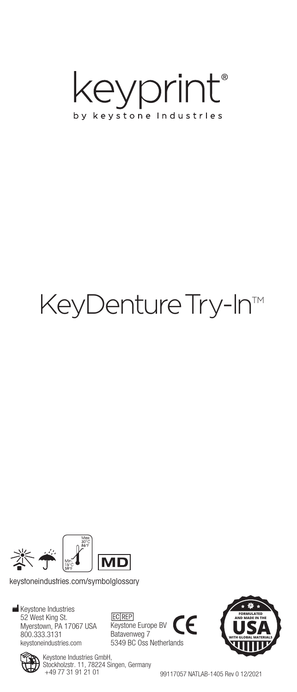

# KeyDenture Try-In™



keystoneindustries.com/symbolglossary

**Keystone Industries** 52 West King St. Myerstown, PA 17067 USA 800.333.3131 keystoneindustries.com

**EC** REP Keystone Europe BV Batavenweg 7 5349 BC Oss Netherlands





99117057 NATLAB-1405 Rev 0 12/2021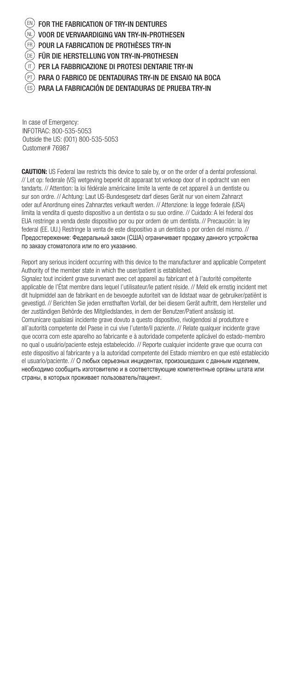$\textcircled{\tiny{H}}$  for the fabrication of try-in dentures VOOR DE VERVAARDIGING VAN TRY-IN-PROTHESEN POUR LA FABRICATION DE PROTHÈSES TRY-IN FÜR DIE HERSTELLUNG VON TRY-IN-PROTHESEN PER LA FABBRICAZIONE DI PROTESI DENTARIE TRY-IN PARA O FABRICO DE DENTADURAS TRY-IN DE ENSAIO NA BOCA PARA LA FABRICACIÓN DE DENTADURAS DE PRUEBA TRY-IN NL DE PT FR IT ES

In case of Emergency: INFOTRAC: 800-535-5053 Outside the US: (001) 800-535-5053 Customer# 76987

CAUTION: US Federal law restricts this device to sale by, or on the order of a dental professional. // Let op: federale (VS) wetgeving beperkt dit apparaat tot verkoop door of in opdracht van een tandarts. // Attention: la loi fédérale américaine limite la vente de cet appareil à un dentiste ou sur son ordre. // Achtung: Laut US-Bundesgesetz darf dieses Gerät nur von einem Zahnarzt oder auf Anordnung eines Zahnarztes verkauft werden. // Attenzione: la legge federale (USA) limita la vendita di questo dispositivo a un dentista o su suo ordine. // Cuidado: A lei federal dos EUA restringe a venda deste dispositivo por ou por ordem de um dentista. // Precaución: la ley federal (EE. UU.) Restringe la venta de este dispositivo a un dentista o por orden del mismo. // Предостережение: Федеральный закон (США) ограничивает продажу данного устройства по заказу стоматолога или по его указанию.

Report any serious incident occurring with this device to the manufacturer and applicable Competent Authority of the member state in which the user/patient is established. Signalez tout incident grave survenant avec cet appareil au fabricant et à l'autorité compétente applicable de l'État membre dans lequel l'utilisateur/le patient réside. // Meld elk ernstig incident met dit hulpmiddel aan de fabrikant en de bevoegde autoriteit van de lidstaat waar de gebruiker/patiënt is gevestigd. // Berichten Sie jeden ernsthaften Vorfall, der bei diesem Gerät auftritt, dem Hersteller und der zuständigen Behörde des Mitgliedslandes, in dem der Benutzer/Patient ansässig ist. Comunicare qualsiasi incidente grave dovuto a questo dispositivo, rivolgendosi al produttore e all'autorità competente del Paese in cui vive l'utente/il paziente. // Relate qualquer incidente grave que ocorra com este aparelho ao fabricante e à autoridade competente aplicável do estado-membro no qual o usuário/paciente esteja estabelecido. // Reporte cualquier incidente grave que ocurra con este dispositivo al fabricante y a la autoridad competente del Estado miembro en que esté establecido el usuario/paciente. // О любых серьезных инцидентах, произошедших с данным изделием, необходимо сообщить изготовителю и в соответствующие компетентные органы штата или страны, в которых проживает пользователь/пациент.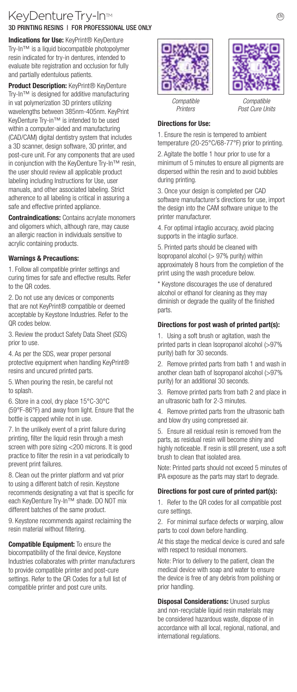## KeyDenture Try-In™ enterprise on the New Only the New Only the New Only the New O 3D PRINTING RESINS | FOR PROFESSIONAL USE ONLY

Indications for Use: KeyPrint® KeyDenture Try-In™ is a liquid biocompatible photopolymer resin indicated for try-in dentures, intended to evaluate bite registration and occlusion for fully and partially edentulous patients.

Product Description: KeyPrint® KeyDenture Try-In™ is designed for additive manufacturing in vat polymerization 3D printers utilizing wavelengths between 385nm-405nm. KeyPrint KeyDenture Try-in™ is intended to be used within a computer-aided and manufacturing (CAD/CAM) digital dentistry system that includes a 3D scanner, design software, 3D printer, and post-cure unit. For any components that are used in conjunction with the KeyDenture Try-In™ resin, the user should review all applicable product labeling including Instructions for Use, user manuals, and other associated labeling. Strict adherence to all labeling is critical in assuring a safe and effective printed appliance.

Contraindications: Contains acrylate monomers and oligomers which, although rare, may cause an allergic reaction in individuals sensitive to acrylic containing products.

#### Warnings & Precautions:

1. Follow all compatible printer settings and curing times for safe and effective results. Refer to the QR codes.

2. Do not use any devices or components that are not KeyPrint® compatible or deemed acceptable by Keystone Industries. Refer to the QR codes below.

3. Review the product Safety Data Sheet (SDS) prior to use.

4. As per the SDS, wear proper personal protective equipment when handling KeyPrint® resins and uncured printed parts.

5. When pouring the resin, be careful not to splash.

6. Store in a cool, dry place 15°C-30°C (59°F-86°F) and away from light. Ensure that the bottle is capped while not in use.

7. In the unlikely event of a print failure during printing, filter the liquid resin through a mesh screen with pore sizing <200 microns. It is good practice to filter the resin in a vat periodically to prevent print failures.

8. Clean out the printer platform and vat prior to using a different batch of resin. Keystone recommends designating a vat that is specific for each KeyDenture Try-In™ shade. DO NOT mix different batches of the same product.

9. Keystone recommends against reclaiming the resin material without filtering.

Compatible Equipment: To ensure the biocompatibility of the final device, Keystone Industries collaborates with printer manufacturers to provide compatible printer and post-cure settings. Refer to the QR Codes for a full list of compatible printer and post cure units.





*Post Cure Units*

*Compatible Printers*

#### Directions for Use:

1. Ensure the resin is tempered to ambient temperature (20-25°C/68-77°F) prior to printing. 2. Agitate the bottle 1 hour prior to use for a minimum of 5 minutes to ensure all pigments are dispersed within the resin and to avoid bubbles during printing.

3. Once your design is completed per CAD software manufacturer's directions for use, import the design into the CAM software unique to the printer manufacturer.

4. For optimal intaglio accuracy, avoid placing supports in the intaglio surface.

5. Printed parts should be cleaned with Isopropanol alcohol (> 97% purity) within approximately 8 hours from the completion of the print using the wash procedure below.

\* Keystone discourages the use of denatured alcohol or ethanol for cleaning as they may diminish or degrade the quality of the finished parts.

#### Directions for post wash of printed part(s):

1. Using a soft brush or agitation, wash the printed parts in clean Isopropanol alcohol (>97% purity) bath for 30 seconds.

2. Remove printed parts from bath 1 and wash in another clean bath of Isopropanol alcohol (>97% purity) for an additional 30 seconds.

3. Remove printed parts from bath 2 and place in an ultrasonic bath for 2-3 minutes.

4. Remove printed parts from the ultrasonic bath and blow dry using compressed air.

5. Ensure all residual resin is removed from the parts, as residual resin will become shiny and highly noticeable. If resin is still present, use a soft brush to clean that isolated area.

Note: Printed parts should not exceed 5 minutes of IPA exposure as the parts may start to degrade.

#### Directions for post cure of printed part(s):

1. Refer to the QR codes for all compatible post cure settings.

2. For minimal surface defects or warping, allow parts to cool down before handling.

At this stage the medical device is cured and safe with respect to residual monomers.

Note: Prior to delivery to the patient, clean the medical device with soap and water to ensure the device is free of any debris from polishing or prior handling.

**Disposal Considerations: Unused surplus** and non-recyclable liquid resin materials may be considered hazardous waste, dispose of in accordance with all local, regional, national, and international regulations.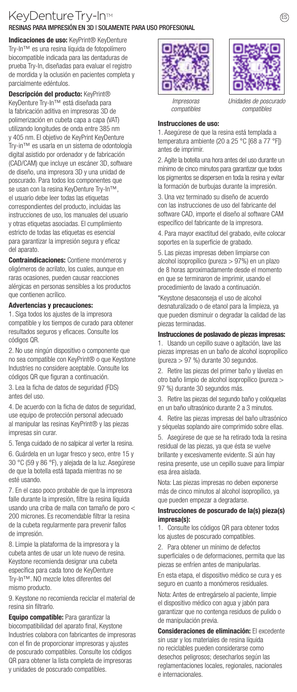## KevDenture Try-In<sup>™</sup> RESINAS PARA IMPRESIÓN EN 3D | SOLAMENTE PARA USO PROFESIONAL

Indicaciones de uso: KeyPrint® KeyDenture Try-In™ es una resina líquida de fotopolímero biocompatible indicada para las dentaduras de prueba Try-In, diseñadas para evaluar el registro de mordida y la oclusión en pacientes completa y parcialmente edéntulos.

Descripción del producto: KeyPrint® KeyDenture Try-In™ está diseñada para la fabricación aditiva en impresoras 3D de polimerización en cubeta capa a capa (VAT) utilizando longitudes de onda entre 385 nm y 405 nm. El objetivo de KeyPrint KeyDenture Try-in™ es usarla en un sistema de odontología digital asistido por ordenador y de fabricación (CAD/CAM) que incluye un escáner 3D, software de diseño, una impresora 3D y una unidad de poscurado. Para todos los componentes que se usan con la resina KeyDenture Try-In™, el usuario debe leer todas las etiquetas correspondientes del producto, incluidas las instrucciones de uso, los manuales del usuario y otras etiquetas asociadas. El cumplimiento estricto de todas las etiquetas es esencial para garantizar la impresión segura y eficaz del aparato.

Contraindicaciones: Contiene monómeros y oligómeros de acrilato, los cuales, aunque en raras ocasiones, pueden causar reacciones alérgicas en personas sensibles a los productos que contienen acrílico.

#### Advertencias y precauciones:

1. Siga todos los ajustes de la impresora compatible y los tiempos de curado para obtener resultados seguros y eficaces. Consulte los códigos QR.

2. No use ningún dispositivo o componente que no sea compatible con KeyPrint® o que Keystone Industries no considere aceptable. Consulte los códigos QR que figuran a continuación.

3. Lea la ficha de datos de seguridad (FDS) antes del uso.

4. De acuerdo con la ficha de datos de seguridad, use equipo de protección personal adecuado al manipular las resinas KeyPrint® y las piezas impresas sin curar.

5. Tenga cuidado de no salpicar al verter la resina.

6. Guárdela en un lugar fresco y seco, entre 15 y 30 °C (59 y 86 °F), y alejada de la luz. Asegúrese de que la botella está tapada mientras no se esté usando.

7. En el caso poco probable de que la impresora falle durante la impresión, filtre la resina líquida usando una criba de malla con tamaño de poro < 200 micrones. Es recomendable filtrar la resina de la cubeta regularmente para prevenir fallos de impresión.

8. Limpie la plataforma de la impresora y la cubeta antes de usar un lote nuevo de resina. Keystone recomienda designar una cubeta específica para cada tono de KeyDenture Try-In™. NO mezcle lotes diferentes del mismo producto.

9. Keystone no recomienda reciclar el material de resina sin filtrarlo.

Equipo compatible: Para garantizar la biocompatibilidad del aparato final, Keystone Industries colabora con fabricantes de impresoras con el fin de proporcionar impresoras y ajustes de poscurado compatibles. Consulte los códigos QR para obtener la lista completa de impresoras y unidades de poscurado compatibles.





*compatibles*

*Impresoras compatibles*

#### Instrucciones de uso:

1. Asegúrese de que la resina está templada a temperatura ambiente (20 a 25 °C [68 a 77 °F]) antes de imprimir.

2. Agite la botella una hora antes del uso durante un mínimo de cinco minutos para garantizar que todos los pigmentos se dispersen en toda la resina y evitar la formación de burbujas durante la impresión.

3. Una vez terminado su diseño de acuerdo con las instrucciones de uso del fabricante del software CAD, importe el diseño al software CAM específico del fabricante de la impresora.

4. Para mayor exactitud del grabado, evite colocar soportes en la superficie de grabado.

5. Las piezas impresas deben limpiarse con alcohol isopropílico (pureza > 97%) en un plazo de 8 horas aproximadamente desde el momento en que se terminaron de imprimir, usando el procedimiento de lavado a continuación.

\*Keystone desaconseja el uso de alcohol desnaturalizado o de etanol para la limpieza, ya que pueden disminuir o degradar la calidad de las piezas terminadas.

#### Instrucciones de poslavado de piezas impresas:

1. Usando un cepillo suave o agitación, lave las piezas impresas en un baño de alcohol isopropílico (pureza > 97 %) durante 30 segundos.

2. Retire las piezas del primer baño y lávelas en otro baño limpio de alcohol isopropílico (pureza > 97 %) durante 30 segundos más.

3. Retire las piezas del segundo baño y colóquelas en un baño ultrasónico durante 2 a 3 minutos.

4. Retire las piezas impresas del baño ultrasónico y séquelas soplando aire comprimido sobre ellas.

5. Asegúrese de que se ha retirado toda la resina residual de las piezas, ya que ésta se vuelve brillante y excesivamente evidente. Si aún hay resina presente, use un cepillo suave para limpiar esa área aislada.

Nota: Las piezas impresas no deben exponerse más de cinco minutos al alcohol isopropílico, ya que pueden empezar a degradarse.

#### Instrucciones de poscurado de la(s) pieza(s) impresa(s):

1. Consulte los códigos QR para obtener todos los ajustes de poscurado compatibles.

2. Para obtener un mínimo de defectos superficiales o de deformaciones, permita que las piezas se enfríen antes de manipularlas.

En esta etapa, el dispositivo médico se cura y es seguro en cuanto a monómeros residuales.

Nota: Antes de entregárselo al paciente, limpie el dispositivo médico con agua y jabón para garantizar que no contenga residuos de pulido o de manipulación previa.

Consideraciones de eliminación: El excedente sin usar y los materiales de resina líquida no reciclables pueden considerarse como desechos peligrosos; desecharlos según las reglamentaciones locales, regionales, nacionales e internacionales.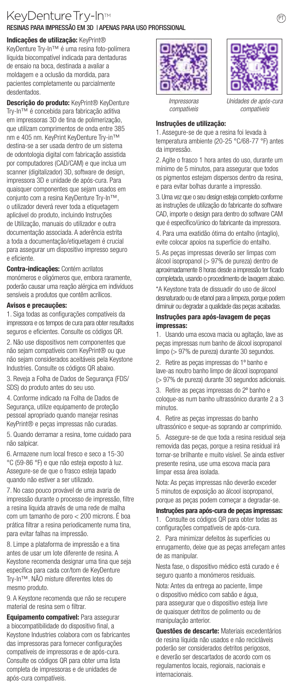### KeyDenture Try-In<sup>™</sup> RESINAS PARA IMPRESSÃO EM 3D | APENAS PARA USO PROFISSIONAL

#### Indicações de utilização: KeyPrint®

KeyDenture Try-In™ é uma resina foto-polímera líquida biocompatível indicada para dentaduras de ensaio na boca, destinada a avaliar a moldagem e a oclusão da mordida, para pacientes completamente ou parcialmente desdentados.

Descrição do produto: KeyPrint® KeyDenture Try-In™ é concebida para fabricação aditiva em impressoras 3D de tina de polimerização, que utilizam comprimentos de onda entre 385 nm e 405 nm. KeyPrint KeyDenture Try-in™ destina-se a ser usada dentro de um sistema de odontologia digital com fabricação assistida por computadores (CAD/CAM) e que inclua um scanner (digitalizador) 3D, software de design, impressora 3D e unidade de após-cura. Para quaisquer componentes que sejam usados em conjunto com a resina KeyDenture Try-In™, o utilizador deverá rever toda a etiquetagem aplicável do produto, incluindo Instruções de Utilização, manuais do utilizador e outra documentação associada. A aderência estrita a toda a documentação/etiquetagem é crucial para assegurar um dispositivo impresso seguro e eficiente.

#### Contra-indicações: Contém acrilatos

monómeros e oligómeros que, embora raramente, poderão causar uma reação alérgica em indivíduos sensíveis a produtos que contêm acrílicos.

#### Avisos e precauções:

1. Siga todas as configurações compatíveis da impressora e os tempos de cura para obter resultados seguros e eficientes. Consulte os códigos QR.

2. Não use dispositivos nem componentes que não sejam compatíveis com KeyPrint® ou que não sejam considerados aceitáveis pela Keystone Industries. Consulte os códigos QR abaixo.

3. Reveja a Folha de Dados de Segurança (FDS/ SDS) do produto antes do seu uso.

4. Conforme indicado na Folha de Dados de Segurança, utilize equipamento de proteção pessoal apropriado quando manejar resinas KeyPrint® e peças impressas não curadas.

5. Quando derramar a resina, tome cuidado para não salpicar.

6. Armazene num local fresco e seco a 15-30 °C (59-86 °F) e que não esteja exposto à luz. Assegure-se de que o frasco esteja tapado quando não estiver a ser utilizado.

7. No caso pouco provável de uma avaria de impressão durante o processo de impressão, filtre a resina líquida através de uma rede de malha com um tamanho de poro < 200 microns. É boa prática filtrar a resina periodicamente numa tina, para evitar falhas na impressão.

8. Limpe a plataforma de impressão e a tina antes de usar um lote diferente de resina. A Keystone recomenda designar uma tina que seja específica para cada cor/tom de KeyDenture Try-In™. NÃO misture diferentes lotes do mesmo produto.

9. A Keystone recomenda que não se recupere material de resina sem o filtrar.

Equipamento compatível: Para assegurar a biocompatibilidade do dispositivo final, a Keystone Industries colabora com os fabricantes das impressoras para fornecer configurações compatíveis de impressoras e de após-cura. Consulte os códigos QR para obter uma lista completa de impressoras e de unidades de após-cura compatíveis.





*Unidades de após compatíveis*

*Impressoras compatíveis*

#### Instruções de utilização:

1. Assegure-se de que a resina foi levada à temperatura ambiente (20-25 °C/68-77 °F) antes da impressão.

2. Agite o frasco 1 hora antes do uso, durante um mínimo de 5 minutos, para assegurar que todos os pigmentos estejam dispersos dentro da resina, e para evitar bolhas durante a impressão.

3. Uma vez que o seu design esteja completo conforme as instruções de utilização do fabricante do software CAD, importe o design para dentro do software CAM que é específico/único do fabricante da impressora.

4. Para uma exatidão ótima do entalho (intaglio), evite colocar apoios na superfície do entalho.

5. As peças impressas deverão ser limpas com álcool isopropanol (> 97% de pureza) dentro de aproximadamente 8 horas desde a impressão ter ficado completada, usando o procedimento de lavagem abaixo.

\*A Keystone trata de dissuadir do uso de álcool desnaturado ou de etanol para a limpeza, porque podem diminuir ou degradar a qualidade das peças acabadas.

#### Instruções para após-lavagem de peças impressas:

1. Usando uma escova macia ou agitação, lave as peças impressas num banho de álcool isopropanol limpo (> 97% de pureza) durante 30 segundos. 2. Retire as peças impressas do 1º banho e lave-as noutro banho limpo de álcool isopropanol (> 97% de pureza) durante 30 segundos adicionais. 3. Retire as peças impressas do 2º banho e coloque-as num banho ultrassónico durante 2 a 3 minutos.

4. Retire as peças impressas do banho ultrassónico e seque-as soprando ar comprimido. 5. Assegure-se de que toda a resina residual seja removida das peças, porque a resina residual irá tornar-se brilhante e muito visível. Se ainda estiver presente resina, use uma escova macia para limpar essa área isolada.

Nota: As peças impressas não deverão exceder 5 minutos de exposição ao álcool isopropanol, porque as peças podem começar a degradar-se.

#### Instruções para após-cura de peças impressas:

1. Consulte os códigos QR para obter todas as configurações compatíveis de após-cura.

2. Para minimizar defeitos às superfícies ou enrugamento, deixe que as peças arrefeçam antes de as manipular.

Nesta fase, o dispositivo médico está curado e é seguro quanto a monómeros residuais.

Nota: Antes da entrega ao paciente, limpe o dispositivo médico com sabão e água, para assegurar que o dispositivo esteja livre de quaisquer detritos de polimento ou de manipulação anterior.

Questões de descarte: Materiais excedentários de resina líquida não usados e não recicláveis poderão ser considerados detritos perigosos, e deverão ser descartados de acordo com os regulamentos locais, regionais, nacionais e internacionais.

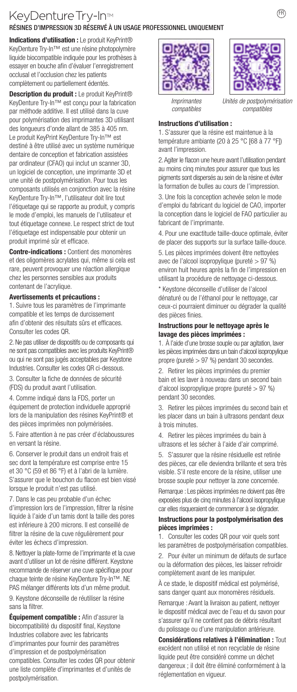# KeyDenture Try-In<sup>™</sup>

RÉSINES D'IMPRESSION 3D RÉSERVÉ À UN USAGE PROFESSIONNEL UNIQUEMENT

Indications d'utilisation : Le produit KeyPrint® KeyDenture Try-In™ est une résine photopolymère liquide biocompatible indiquée pour les prothèses à essayer en bouche afin d'évaluer l'enregistrement occlusal et l'occlusion chez les patients complètement ou partiellement édentés.

Description du produit : Le produit KeyPrint® KeyDenture Try-In™ est conçu pour la fabrication par méthode additive. Il est utilisé dans la cuve pour polymérisation des imprimantes 3D utilisant des longueurs d'onde allant de 385 à 405 nm. Le produit KeyPrint KeyDenture Try-In™ est destiné à être utilisé avec un système numérique dentaire de conception et fabrication assistées par ordinateur (CFAO) qui inclut un scanner 3D, un logiciel de conception, une imprimante 3D et une unité de postpolymérisation. Pour tous les composants utilisés en conjonction avec la résine KeyDenture Try-In™, l'utilisateur doit lire tout l'étiquetage qui se rapporte au produit, y compris le mode d'emploi, les manuels de l'utilisateur et tout étiquetage connexe. Le respect strict de tout l'étiquetage est indispensable pour obtenir un produit imprimé sûr et efficace.

Contre-indications : Contient des monomères et des oligomères acrylates qui, même si cela est rare, peuvent provoquer une réaction allergique chez les personnes sensibles aux produits contenant de l'acrylique.

#### Avertissements et précautions :

1. Suivre tous les paramètres de l'imprimante compatible et les temps de durcissement afin d'obtenir des résultats sûrs et efficaces. Consulter les codes QR.

2. Ne pas utiliser de dispositifs ou de composants qui ne sont pas compatibles avec les produits KeyPrint® ou qui ne sont pas jugés acceptables par Keystone Industries. Consulter les codes QR ci-dessous.

3. Consulter la fiche de données de sécurité (FDS) du produit avant l'utilisation.

4. Comme indiqué dans la FDS, porter un équipement de protection individuelle approprié lors de la manipulation des résines KeyPrint® et des pièces imprimées non polymérisées.

5. Faire attention à ne pas créer d'éclaboussures en versant la résine.

6. Conserver le produit dans un endroit frais et sec dont la température est comprise entre 15 et 30 °C (59 et 86 °F) et à l'abri de la lumière. S'assurer que le bouchon du flacon est bien vissé lorsque le produit n'est pas utilisé.

7. Dans le cas peu probable d'un échec d'impression lors de l'impression, filtrer la résine liquide à l'aide d'un tamis dont la taille des pores est inférieure à 200 microns. Il est conseillé de filtrer la résine de la cuve régulièrement pour éviter les échecs d'impression.

8. Nettoyer la plate-forme de l'imprimante et la cuve avant d'utiliser un lot de résine différent. Keystone recommande de réserver une cuve spécifique pour chaque teinte de résine KeyDenture Try-In™. NE PAS mélanger différents lots d'un même produit.

9. Keystone déconseille de réutiliser la résine sans la filtrer.

Équipement compatible : Afin d'assurer la biocompatibilité du dispositif final, Keystone Industries collabore avec les fabricants d'imprimantes pour fournir des paramètres d'impression et de postpolymérisation compatibles. Consulter les codes QR pour obtenir une liste complète d'imprimantes et d'unités de postpolymérisation.





*Imprimantes compatibles*

*Unités de postpolyméria compatibles*

#### Instructions d'utilisation :

1. S'assurer que la résine est maintenue à la température ambiante (20 à 25 °C [68 à 77 °F]) avant l'impression.

2. Agiter le flacon une heure avant l'utilisation pendant au moins cinq minutes pour assurer que tous les pigments sont dispersés au sein de la résine et éviter la formation de bulles au cours de l'impression.

3. Une fois la conception achevée selon le mode d'emploi du fabricant du logiciel de CAO, importer la conception dans le logiciel de FAO particulier au fabricant de l'imprimante.

4. Pour une exactitude taille-douce optimale, éviter de placer des supports sur la surface taille-douce.

5. Les pièces imprimées doivent être nettoyées avec de l'alcool isopropylique (pureté > 97 %) environ huit heures après la fin de l'impression en utilisant la procédure de nettoyage ci-dessous.

\* Keystone déconseille d'utiliser de l'alcool dénaturé ou de l'éthanol pour le nettoyage, car ceux-ci pourraient diminuer ou dégrader la qualité des pièces finies.

#### Instructions pour le nettoyage après le lavage des pièces imprimées :

1. À l'aide d'une brosse souple ou par agitation, laver les pièces imprimées dans un bain d'alcool isopropylique propre (pureté > 97 %) pendant 30 secondes.

2. Retirer les pièces imprimées du premier bain et les laver à nouveau dans un second bain d'alcool isopropylique propre (pureté > 97 %) pendant 30 secondes.

3. Retirer les pièces imprimées du second bain et les placer dans un bain à ultrasons pendant deux à trois minutes.

4. Retirer les pièces imprimées du bain à ultrasons et les sécher à l'aide d'air comprimé.

5. S'assurer que la résine résiduelle est retirée des pièces, car elle deviendra brillante et sera très visible. S'il reste encore de la résine, utiliser une brosse souple pour nettoyer la zone concernée.

Remarque : Les pièces imprimées ne doivent pas être exposées plus de cinq minutes à l'alcool isopropylique car elles risqueraient de commencer à se dégrader.

#### Instructions pour la postpolymérisation des pièces imprimées :

1. Consulter les codes QR pour voir quels sont les paramètres de postpolymérisation compatibles.

2. Pour éviter un minimum de défauts de surface ou la déformation des pièces, les laisser refroidir complètement avant de les manipuler.

À ce stade, le dispositif médical est polymérisé, sans danger quant aux monomères résiduels.

Remarque : Avant la livraison au patient, nettoyer le dispositif médical avec de l'eau et du savon pour s'assurer qu'il ne contient pas de débris résultant du polissage ou d'une manipulation antérieure.

Considérations relatives à l'élimination : Tout excédent non utilisé et non recyclable de résine liquide peut être considéré comme un déchet dangereux ; il doit être éliminé conformément à la réglementation en vigueur.

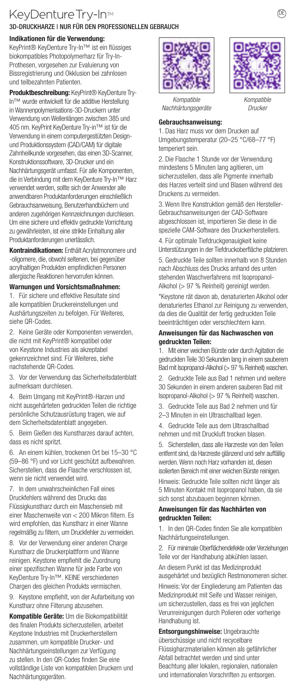## KeyDenture Try-In<sup>™</sup> 3D-DRUCKHARZE | NUR FÜR DEN PROFESSIONELLEN GEBRAUCH

#### Indikationen für die Verwendung:

KeyPrint® KeyDenture Try-In™ ist ein flüssiges biokompatibles Photopolymerharz für Try-In-Prothesen, vorgesehen zur Evaluierung von Bissregistrierung und Okklusion bei zahnlosen und teilbezahnten Patienten.

Produktbeschreibung: KeyPrint® KeyDenture Try-In™ wurde entwickelt für die additive Herstellung in Wannenpolymerisations-3D-Druckern unter Verwendung von Wellenlängen zwischen 385 und 405 nm. KeyPrint KeyDenture Try-in™ ist für die Verwendung in einem computergestützten Designund Produktionssystem (CAD/CAM) für digitale Zahnheilkunde vorgesehen, das einen 3D-Scanner, Konstruktionssoftware, 3D-Drucker und ein Nachhärtungsgerät umfasst. Für alle Komponenten, die in Verbindung mit dem KeyDenture Try-In™ Harz verwendet werden, sollte sich der Anwender alle anwendbaren Produktanforderungen einschließlich Gebrauchsanweisung, Benutzerhandbüchern und anderen zugehörigen Kennzeichnungen durchlesen. Um eine sichere und effektiv gedruckte Vorrichtung zu gewährleisten, ist eine strikte Einhaltung aller Produktanforderungen unerlässlich.

Kontraindikationen: Enthält Acrylatmonomere und -oligomere, die, obwohl seltenen, bei gegenüber acrylhaltigen Produkten empfindlichen Personen allergische Reaktionen hervorrufen können.

Warnungen und Vorsichtsmaßnahmen: 1. Für sichere und effektive Resultate sind alle kompatiblen Druckereinstellungen und Aushärtungszeiten zu befolgen. Für Weiteres, siehe QR-Codes.

2. Keine Geräte oder Komponenten verwenden, die nicht mit KeyPrint® kompatibel oder von Keystone Industries als akzeptabel gekennzeichnet sind. Für Weiteres, siehe nachstehende QR-Codes.

3. Vor der Verwendung das Sicherheitsdatenblatt aufmerksam durchlesen.

4. Beim Umgang mit KeyPrint®-Harzen und nicht ausgehärteten gedruckten Teilen die richtige persönliche Schutzausrüstung tragen, wie auf dem Sicherheitsdatenblatt angegeben.

5. Beim Gießen des Kunstharzes darauf achten, dass es nicht spritzt.

6. An einem kühlen, trockenen Ort bei 15–30 °C (59–86 °F) und vor Licht geschützt aufbewahren. Sicherstellen, dass die Flasche verschlossen ist, wenn sie nicht verwendet wird.

7. In dem unwahrscheinlichen Fall eines Druckfehlers während des Drucks das Flüssigkunstharz durch ein Maschensieb mit einer Maschenweite von < 200 Mikron filtern. Es wird empfohlen, das Kunstharz in einer Wanne regelmäßig zu filtern, um Druckfehler zu vermeiden.

8. Vor der Verwendung einer anderen Charge Kunstharz die Druckerplattform und Wanne reinigen. Keystone empfiehlt die Zuordnung einer spezifischen Wanne für jede Farbe von KeyDenture Try-In™. KEINE verschiedenen Chargen des gleichen Produkts vermischen.

9. Keystone empfiehlt, von der Aufarbeitung von Kunstharz ohne Filterung abzusehen.

Kompatible Geräte: Um die Biokompatibilität des finalen Produkts sicherzustellen, arbeitet Keystone Industries mit Druckerherstellern zusammen, um kompatible Drucker- und Nachhärtungseinstellungen zur Verfügung zu stellen. In den QR-Codes finden Sie eine vollständige Liste von kompatiblen Druckern und Nachhärtungsgeräten.





*Kompatible Drucker*

*Kompatible Nachhärtungsgeräte*

#### Gebrauchsanweisung:

1. Das Harz muss vor dem Drucken auf Umgebungstemperatur (20–25 °C/68–77 °F) temperiert sein.

2. Die Flasche 1 Stunde vor der Verwendung mindestens 5 Minuten lang agitieren, um sicherzustellen, dass alle Pigmente innerhalb des Harzes verteilt sind und Blasen während des Druckens zu vermeiden.

3. Wenn Ihre Konstruktion gemäß den Hersteller-Gebrauchsanweisungen der CAD-Software abgeschlossen ist, importieren Sie diese in die spezielle CAM-Software des Druckerherstellers.

4. Für optimale Tiefdruckgenaujgkeit keine Unterstützungen in der Tiefdruckoberfläche platzieren. 5. Gedruckte Teile sollten innerhalb von 8 Stunden nach Abschluss des Drucks anhand des unten stehenden Waschverfahrens mit Isopropanol-Alkohol (> 97 % Reinheit) gereinigt werden.

\*Keystone rät davon ab, denaturierten Alkohol oder denaturiertes Ethanol zur Reinigung zu verwenden, da dies die Qualität der fertig gedruckten Teile beeinträchtigen oder verschlechtern kann.

#### Anweisungen für das Nachwaschen von gedruckten Teilen:

1. Mit einer weichen Bürste oder durch Agitation die gedruckten Teile 30 Sekunden lang in einem sauberem Bad mit Isopropanol-Alkohol (> 97 % Reinheit) waschen.

2. Gedruckte Teile aus Bad 1 nehmen und weitere 30 Sekunden in einem anderen sauberen Bad mit Isopropanol-Alkohol (> 97 % Reinheit) waschen.

3. Gedruckte Teile aus Bad 2 nehmen und für 2–3 Minuten in ein Ultraschallbad legen.

4. Gedruckte Teile aus dem Ultraschallbad nehmen und mit Druckluft trocken blasen.

5. Sicherstellen, dass alle Harzreste von den Teilen entfernt sind, da Harzreste glänzend und sehr auffällig werden. Wenn noch Harz vorhanden ist, diesen isolierten Bereich mit einer weichen Bürste reinigen.

Hinweis: Gedruckte Teile sollten nicht länger als 5 Minuten Kontakt mit Isopropanol haben, da sie sich sonst abzubauen beginnen können.

#### Anweisungen für das Nachhärten von gedruckten Teilen:

1. In den QR-Codes finden Sie alle kompatiblen Nachhärtungseinstellungen.

2. Für minimale Oberflächendefekte oder Verziehungen Teile vor der Handhabung abkühlen lassen.

An diesem Punkt ist das Medizinprodukt ausgehärtet und bezüglich Restmonomeren sicher. Hinweis: Vor der Eingliederung am Patienten das Medizinprodukt mit Seife und Wasser reinigen, um sicherzustellen, dass es frei von jeglichen Verunreinigungen durch Polieren oder vorherige Handhabung ist.

Entsorgungshinweise: Ungebrauchte überschüssige und nicht recycelbare Flüssigharzmaterialien können als gefährlicher Abfall betrachtet werden und sind unter Beachtung aller lokalen, regionalen, nationalen und internationalen Vorschriften zu entsorgen.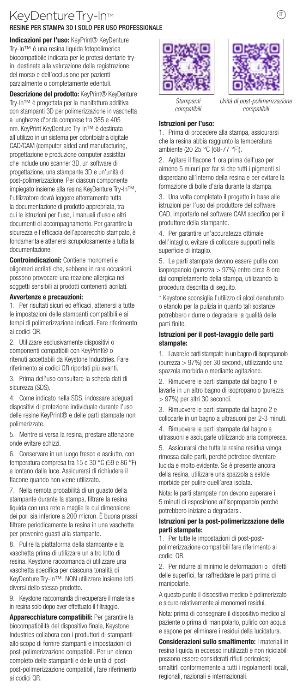## KeyDenture Try-In<sup>™</sup> RESINE PER STAMPA 3D | SOLO PER USO PROFESSIONALE

Indicazioni per l'uso: KeyPrint® KeyDenture Try-In™ è una resina liquida fotopolimerica biocompatibile indicata per le protesi dentarie tryin, destinata alla valutazione della registrazione del morso e dell'occlusione per pazienti parzialmente o completamente edentuli.

Descrizione del prodotto: KeyPrint® KeyDenture Try-In™ è progettata per la manifattura additiva con stampanti 3D per polimerizzazione in vaschetta a lunghezze d'onda comprese tra 385 e 405 nm. KeyPrint KeyDenture Try-in™ è destinata all'utilizzo in un sistema per odontoiatria digitale CAD/CAM (computer-aided and manufacturing, progettazione e produzione computer assistita) che include uno scanner 3D, un software di progettazione, una stampante 3D e un'unità di post-polimerizzazione. Per ciascun componente impiegato insieme alla resina KeyDenture Try-In™, l'utilizzatore dovrà leggere attentamente tutta la documentazione di prodotto appropriata, tra cui le istruzioni per l'uso, i manuali d'uso e altri documenti di accompagnamento. Per garantire la sicurezza e l'efficacia dell'apparecchio stampato, è fondamentale attenersi scrupolosamente a tutta la documentazione.

Controindicazioni: Contiene monomeri e oligomeri acrilati che, sebbene in rare occasioni, possono provocare una reazione allergica nei soggetti sensibili ai prodotti contenenti acrilati.

#### Avvertenze e precauzioni:

1. Per risultati sicuri ed efficaci, attenersi a tutte le impostazioni delle stampanti compatibili e ai tempi di polimerizzazione indicati. Fare riferimento ai codici QR.

2. Utilizzare esclusivamente dispositivi o componenti compatibili con KeyPrint® o ritenuti accettabili da Keystone Industries. Fare riferimento ai codici QR riportati più avanti.

3. Prima dell'uso consultare la scheda dati di sicurezza (SDS).

4. Come indicato nella SDS, indossare adeguati dispositivi di protezione individuale durante l'uso delle resine KeyPrint® e delle parti stampate non polimerizzate.

5. Mentre si versa la resina, prestare attenzione onde evitare schizzi.

6. Conservare in un luogo fresco e asciutto, con temperatura compresa tra 15 e 30 °C (59 e 86 °F) e lontano dalla luce. Assicurarsi di richiudere il flacone quando non viene utilizzato.

7. Nella remota probabilità di un guasto della stampante durante la stampa, filtrare la resina liquida con una rete a maglie la cui dimensione dei pori sia inferiore a 200 micron. È buona prassi filtrare periodicamente la resina in una vaschetta per prevenire guasti alla stampante.

8. Pulire la piattaforma della stampante e la vaschetta prima di utilizzare un altro lotto di resina. Keystone raccomanda di utilizzare una vaschetta specifica per ciascuna tonalità di KeyDenture Try-In™. NON utilizzare insieme lotti diversi dello stesso prodotto.

9. Keystone raccomanda di recuperare il materiale in resina solo dopo aver effettuato il filtraggio.

Apparecchiature compatibili: Per garantire la biocompatibilità del dispositivo finale, Keystone Industries collabora con i produttori di stampanti allo scopo di fornire stampanti e impostazioni di post-polimerizzazione compatibili. Per un elenco completo delle stampanti e delle unità di postpost-polimerizzazione compatibili, fare riferimento ai codici QR.





*Stampanti compatibili*

*Unità di post-polimeni compatibili*

#### Istruzioni per l'uso:

1. Prima di procedere alla stampa, assicurarsi che la resina abbia raggiunto la temperatura ambiente (20 25 °C [68-77 °F]).

2. Agitare il flacone 1 ora prima dell'uso per almeno 5 minuti per far sì che tutti i pigmenti si disperdano all'interno della resina e per evitare la formazione di bolle d'aria durante la stampa.

3. Una volta completato il progetto in base alle istruzioni per l'uso del produttore del software CAD, importarlo nel software CAM specifico per il produttore della stampante.

4. Per garantire un'accuratezza ottimale dell'intaglio, evitare di collocare supporti nella superficie di intaglio.

5. Le parti stampate devono essere pulite con isopropanolo (purezza > 97%) entro circa 8 ore dal completamento della stampa, utilizzando la procedura descritta di seguito.

\* Keystone sconsiglia l'utilizzo di alcol denaturato o etanolo per la pulizia in quanto tali sostanze potrebbero ridurre o degradare la qualità delle parti finite.

#### Istruzioni per il post-lavaggio delle parti stampate:

1. Lavare le parti stampate in un bagno di isopropanolo (purezza > 97%) per 30 secondi, utilizzando una spazzola morbida o mediante agitazione.

2. Rimuovere le parti stampate dal bagno 1 e lavarle in un altro bagno di isopropanolo (purezza > 97%) per altri 30 secondi.

3. Rimuovere le parti stampate dal bagno 2 e collocarle in un bagno a ultrasuoni per 2-3 minuti.

4. Rimuovere le parti stampate dal bagno a ultrasuoni e asciugarle utilizzando aria compressa.

5. Assicurarsi che tutta la resina residua venga rimossa dalle parti, perché potrebbe diventare lucida e molto evidente. Se è presente ancora della resina, utilizzare una spazzola a setole morbide per pulire quell'area isolata.

Nota: le parti stampate non devono superare i 5 minuti di esposizione all'isopropanolo perché potrebbero iniziare a degradarsi.

#### Istruzioni per la post-polimerizzazione delle parti stampate:

1. Per tutte le impostazioni di post-postpolimerizzazione compatibili fare riferimento ai codici QR.

2. Per ridurre al minimo le deformazioni o i difetti delle superfici, far raffreddare le parti prima di manipolarle.

A questo punto il dispositivo medico è polimerizzato e sicuro relativamente ai monomeri residui.

Nota: prima di consegnare il dispositivo medico al paziente o prima di manipolarlo, pulirlo con acqua e sapone per eliminare i residui della lucidatura.

Considerazioni sullo smaltimento: I materiali in resina liquida in eccesso inutilizzati e non riciclabili possono essere considerati rifiuti pericolosi;

smaltirli conformemente a tutti i regolamenti locali, regionali, nazionali e internazionali.